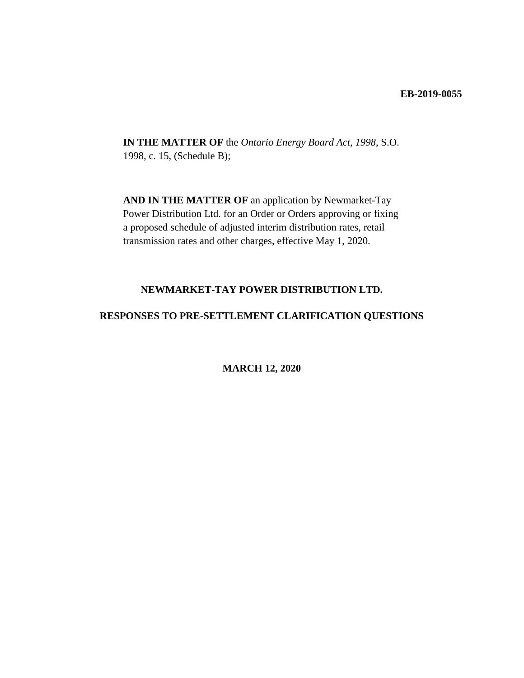#### **EB-2019-0055**

**IN THE MATTER OF** the *Ontario Energy Board Act, 1998*, S.O. 1998, c. 15, (Schedule B);

**AND IN THE MATTER OF** an application by Newmarket-Tay Power Distribution Ltd. for an Order or Orders approving or fixing a proposed schedule of adjusted interim distribution rates, retail transmission rates and other charges, effective May 1, 2020.

## **NEWMARKET-TAY POWER DISTRIBUTION LTD.**

#### **RESPONSES TO PRE-SETTLEMENT CLARIFICATION QUESTIONS**

**MARCH 12, 2020**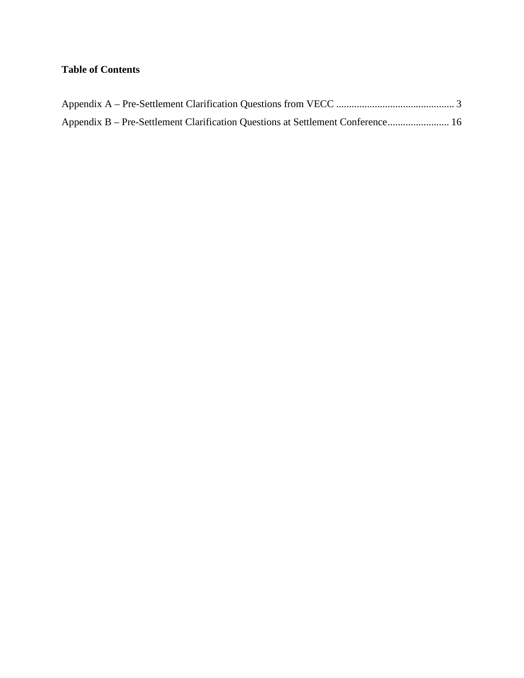# **Table of Contents**

| Appendix B – Pre-Settlement Clarification Questions at Settlement Conference 16 |  |
|---------------------------------------------------------------------------------|--|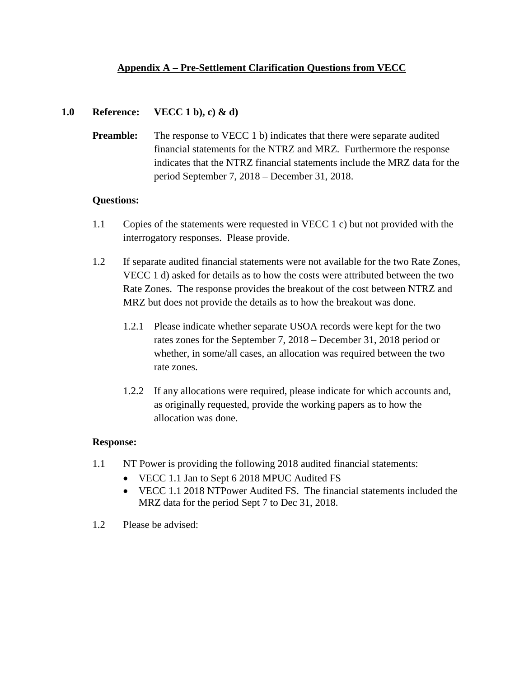# <span id="page-2-0"></span>**Appendix A – Pre-Settlement Clarification Questions from VECC**

## **1.0 Reference: VECC 1 b), c) & d)**

**Preamble:** The response to VECC 1 b) indicates that there were separate audited financial statements for the NTRZ and MRZ. Furthermore the response indicates that the NTRZ financial statements include the MRZ data for the period September 7, 2018 – December 31, 2018.

## **Questions:**

- 1.1 Copies of the statements were requested in VECC 1 c) but not provided with the interrogatory responses. Please provide.
- 1.2 If separate audited financial statements were not available for the two Rate Zones, VECC 1 d) asked for details as to how the costs were attributed between the two Rate Zones. The response provides the breakout of the cost between NTRZ and MRZ but does not provide the details as to how the breakout was done.
	- 1.2.1 Please indicate whether separate USOA records were kept for the two rates zones for the September 7, 2018 – December 31, 2018 period or whether, in some/all cases, an allocation was required between the two rate zones.
	- 1.2.2 If any allocations were required, please indicate for which accounts and, as originally requested, provide the working papers as to how the allocation was done.

# **Response:**

- 1.1 NT Power is providing the following 2018 audited financial statements:
	- VECC 1.1 Jan to Sept 6 2018 MPUC Audited FS
	- VECC 1.1 2018 NTPower Audited FS. The financial statements included the MRZ data for the period Sept 7 to Dec 31, 2018.
- 1.2 Please be advised: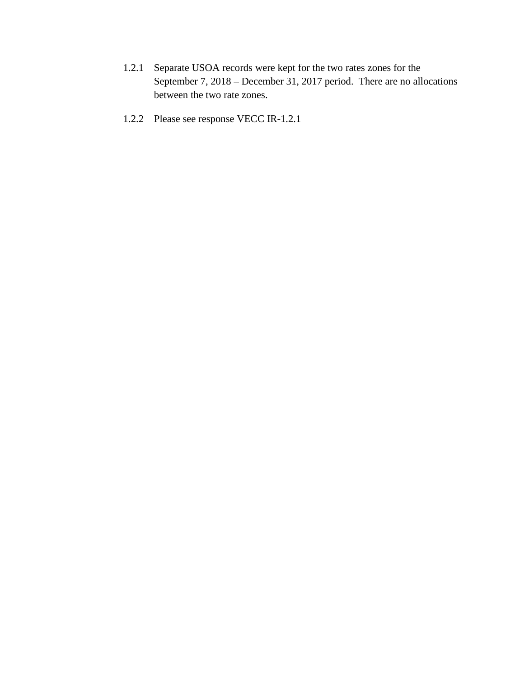- 1.2.1 Separate USOA records were kept for the two rates zones for the September 7, 2018 – December 31, 2017 period. There are no allocations between the two rate zones.
- 1.2.2 Please see response VECC IR-1.2.1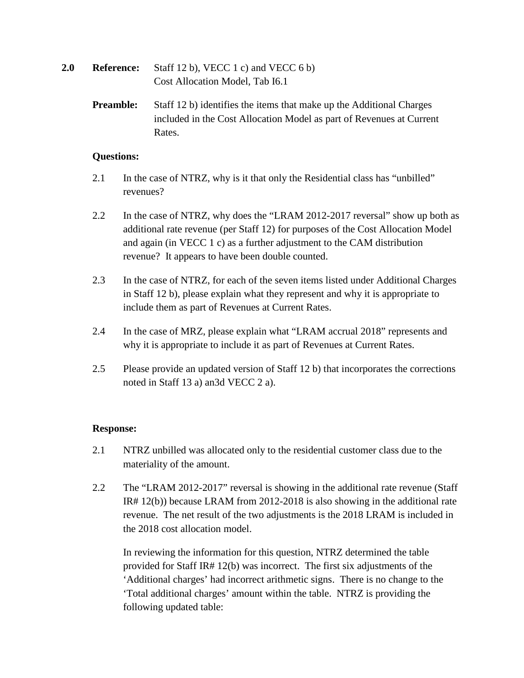| 2.0 | <b>Reference:</b> | Staff 12 b), VECC 1 c) and VECC 6 b) |
|-----|-------------------|--------------------------------------|
|     |                   | Cost Allocation Model, Tab I6.1      |

**Preamble:** Staff 12 b) identifies the items that make up the Additional Charges included in the Cost Allocation Model as part of Revenues at Current Rates.

## **Questions:**

- 2.1 In the case of NTRZ, why is it that only the Residential class has "unbilled" revenues?
- 2.2 In the case of NTRZ, why does the "LRAM 2012-2017 reversal" show up both as additional rate revenue (per Staff 12) for purposes of the Cost Allocation Model and again (in VECC 1 c) as a further adjustment to the CAM distribution revenue? It appears to have been double counted.
- 2.3 In the case of NTRZ, for each of the seven items listed under Additional Charges in Staff 12 b), please explain what they represent and why it is appropriate to include them as part of Revenues at Current Rates.
- 2.4 In the case of MRZ, please explain what "LRAM accrual 2018" represents and why it is appropriate to include it as part of Revenues at Current Rates.
- 2.5 Please provide an updated version of Staff 12 b) that incorporates the corrections noted in Staff 13 a) an3d VECC 2 a).

# **Response:**

- 2.1 NTRZ unbilled was allocated only to the residential customer class due to the materiality of the amount.
- 2.2 The "LRAM 2012-2017" reversal is showing in the additional rate revenue (Staff IR# 12(b)) because LRAM from 2012-2018 is also showing in the additional rate revenue. The net result of the two adjustments is the 2018 LRAM is included in the 2018 cost allocation model.

In reviewing the information for this question, NTRZ determined the table provided for Staff IR# 12(b) was incorrect. The first six adjustments of the 'Additional charges' had incorrect arithmetic signs. There is no change to the 'Total additional charges' amount within the table. NTRZ is providing the following updated table: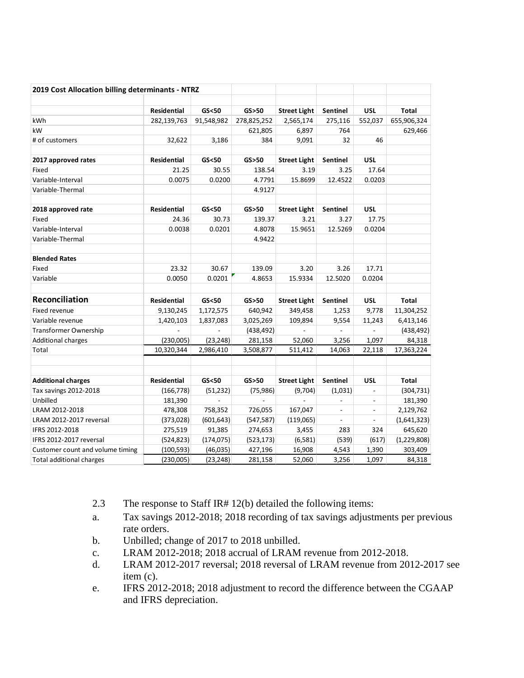| 2019 Cost Allocation billing determinants - NTRZ |                            |                       |                        |                                  |                          |                          |                      |
|--------------------------------------------------|----------------------------|-----------------------|------------------------|----------------------------------|--------------------------|--------------------------|----------------------|
|                                                  |                            |                       |                        |                                  |                          |                          |                      |
| <b>kWh</b>                                       | Residential<br>282,139,763 | GS < 50<br>91,548,982 | GS > 50<br>278,825,252 | <b>Street Light</b><br>2,565,174 | Sentinel<br>275,116      | <b>USL</b><br>552,037    | Total<br>655,906,324 |
| kW                                               |                            |                       | 621,805                | 6,897                            | 764                      |                          | 629,466              |
| # of customers                                   |                            |                       | 384                    |                                  | 32                       | 46                       |                      |
|                                                  | 32,622                     | 3,186                 |                        | 9,091                            |                          |                          |                      |
| 2017 approved rates                              | <b>Residential</b>         | GS < 50               | GS > 50                | <b>Street Light</b>              | Sentinel                 | <b>USL</b>               |                      |
| Fixed                                            | 21.25                      | 30.55                 | 138.54                 | 3.19                             | 3.25                     | 17.64                    |                      |
| Variable-Interval                                | 0.0075                     | 0.0200                | 4.7791                 | 15.8699                          | 12.4522                  | 0.0203                   |                      |
| Variable-Thermal                                 |                            |                       | 4.9127                 |                                  |                          |                          |                      |
| 2018 approved rate                               | Residential                | GS < 50               | GS > 50                | <b>Street Light</b>              | Sentinel                 | <b>USL</b>               |                      |
| Fixed                                            | 24.36                      | 30.73                 | 139.37                 | 3.21                             | 3.27                     | 17.75                    |                      |
| Variable-Interval                                | 0.0038                     | 0.0201                | 4.8078                 | 15.9651                          | 12.5269                  | 0.0204                   |                      |
| Variable-Thermal                                 |                            |                       | 4.9422                 |                                  |                          |                          |                      |
| <b>Blended Rates</b>                             |                            |                       |                        |                                  |                          |                          |                      |
| Fixed                                            | 23.32                      | 30.67                 | 139.09                 | 3.20                             | 3.26                     | 17.71                    |                      |
| Variable                                         | 0.0050                     | 0.0201                | 4.8653                 | 15.9334                          | 12.5020                  | 0.0204                   |                      |
|                                                  |                            |                       |                        |                                  |                          |                          |                      |
| Reconciliation                                   | <b>Residential</b>         | GS < 50               | GS > 50                | <b>Street Light</b>              | <b>Sentinel</b>          | <b>USL</b>               | <b>Total</b>         |
| Fixed revenue                                    | 9,130,245                  | 1,172,575             | 640,942                | 349,458                          | 1,253                    | 9,778                    | 11,304,252           |
| Variable revenue                                 | 1,420,103                  | 1,837,083             | 3,025,269              | 109,894                          | 9,554                    | 11,243                   | 6,413,146            |
| <b>Transformer Ownership</b>                     | $\overline{a}$             | $\mathbf{r}$          | (438, 492)             | $\mathbb{Z}^{\mathbb{Z}}$        | ä,                       | $\overline{a}$           | (438, 492)           |
| <b>Additional charges</b>                        | (230,005)                  | (23, 248)             | 281,158                | 52,060                           | 3,256                    | 1,097                    | 84,318               |
| Total                                            | 10,320,344                 | 2,986,410             | 3,508,877              | 511,412                          | 14,063                   | 22,118                   | 17,363,224           |
|                                                  |                            |                       |                        |                                  |                          |                          |                      |
| <b>Additional charges</b>                        | <b>Residential</b>         | GS < 50               | GS > 50                | <b>Street Light</b>              | <b>Sentinel</b>          | <b>USL</b>               | Total                |
| Tax savings 2012-2018                            | (166, 778)                 | (51, 232)             | (75, 986)              | (9,704)                          | (1,031)                  | $\overline{\phantom{a}}$ | (304, 731)           |
| Unbilled                                         | 181,390                    | $\overline{a}$        |                        | $\overline{a}$                   | ÷,                       | $\blacksquare$           | 181,390              |
| LRAM 2012-2018                                   | 478,308                    | 758,352               | 726,055                | 167,047                          | $\overline{\phantom{a}}$ | $\overline{\phantom{a}}$ | 2,129,762            |
| LRAM 2012-2017 reversal                          | (373, 028)                 | (601, 643)            | (547, 587)             | (119,065)                        | $\overline{\phantom{a}}$ | $\overline{\phantom{a}}$ | (1,641,323)          |
| IFRS 2012-2018                                   | 275,519                    | 91,385                | 274,653                | 3,455                            | 283                      | 324                      | 645,620              |
| IFRS 2012-2017 reversal                          | (524, 823)                 | (174, 075)            | (523, 173)             | (6, 581)                         | (539)                    | (617)                    | (1,229,808)          |
| Customer count and volume timing                 | (100, 593)                 | (46, 035)             | 427,196                | 16,908                           | 4,543                    | 1,390                    | 303,409              |
| Total additional charges                         | (230,005)                  | (23,248)              | 281,158                | 52,060                           | 3,256                    | 1,097                    | 84,318               |

- 2.3 The response to Staff IR# 12(b) detailed the following items:
- a. Tax savings 2012-2018; 2018 recording of tax savings adjustments per previous rate orders.
- b. Unbilled; change of 2017 to 2018 unbilled.
- c. LRAM 2012-2018; 2018 accrual of LRAM revenue from 2012-2018.
- d. LRAM 2012-2017 reversal; 2018 reversal of LRAM revenue from 2012-2017 see item (c).
- e. IFRS 2012-2018; 2018 adjustment to record the difference between the CGAAP and IFRS depreciation.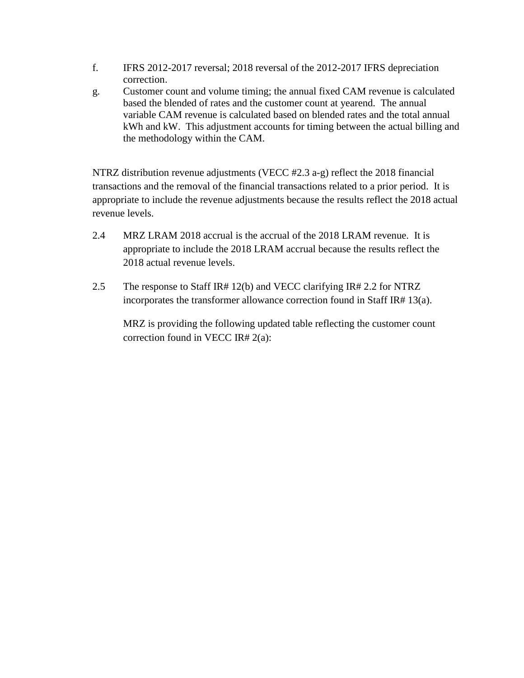- f. IFRS 2012-2017 reversal; 2018 reversal of the 2012-2017 IFRS depreciation correction.
- g. Customer count and volume timing; the annual fixed CAM revenue is calculated based the blended of rates and the customer count at yearend. The annual variable CAM revenue is calculated based on blended rates and the total annual kWh and kW. This adjustment accounts for timing between the actual billing and the methodology within the CAM.

NTRZ distribution revenue adjustments (VECC #2.3 a-g) reflect the 2018 financial transactions and the removal of the financial transactions related to a prior period. It is appropriate to include the revenue adjustments because the results reflect the 2018 actual revenue levels.

- 2.4 MRZ LRAM 2018 accrual is the accrual of the 2018 LRAM revenue. It is appropriate to include the 2018 LRAM accrual because the results reflect the 2018 actual revenue levels.
- 2.5 The response to Staff IR# 12(b) and VECC clarifying IR# 2.2 for NTRZ incorporates the transformer allowance correction found in Staff IR# 13(a).

MRZ is providing the following updated table reflecting the customer count correction found in VECC IR# 2(a):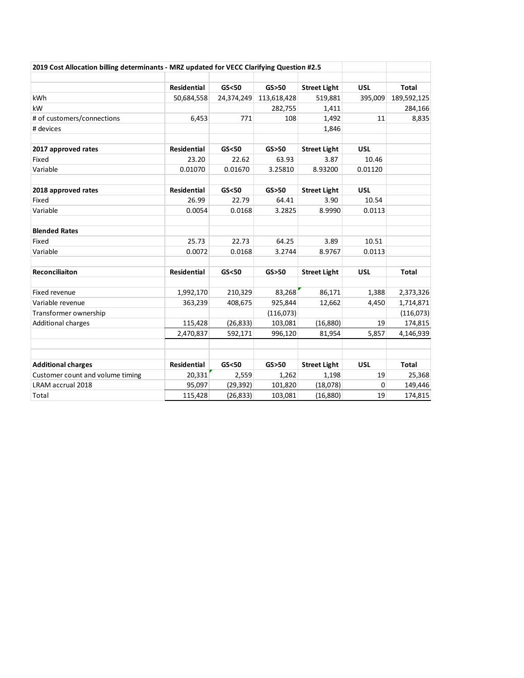| 2019 Cost Allocation billing determinants - MRZ updated for VECC Clarifying Question #2.5 |                    |            |             |                     |            |              |
|-------------------------------------------------------------------------------------------|--------------------|------------|-------------|---------------------|------------|--------------|
|                                                                                           | <b>Residential</b> | GS < 50    | GS > 50     | <b>Street Light</b> | <b>USL</b> | <b>Total</b> |
| kWh                                                                                       | 50,684,558         | 24,374,249 | 113,618,428 | 519,881             | 395,009    | 189,592,125  |
| kW                                                                                        |                    |            | 282,755     | 1,411               |            | 284,166      |
| # of customers/connections                                                                | 6,453              | 771        | 108         | 1,492               | 11         | 8,835        |
| # devices                                                                                 |                    |            |             | 1,846               |            |              |
| 2017 approved rates                                                                       | <b>Residential</b> | GS < 50    | GS > 50     | <b>Street Light</b> | <b>USL</b> |              |
| Fixed                                                                                     | 23.20              | 22.62      | 63.93       | 3.87                | 10.46      |              |
| Variable                                                                                  | 0.01070            | 0.01670    | 3.25810     | 8.93200             | 0.01120    |              |
| 2018 approved rates                                                                       | <b>Residential</b> | GS < 50    | GS > 50     | <b>Street Light</b> | <b>USL</b> |              |
| Fixed                                                                                     | 26.99              | 22.79      | 64.41       | 3.90                | 10.54      |              |
| Variable                                                                                  | 0.0054             | 0.0168     | 3.2825      | 8.9990              | 0.0113     |              |
| <b>Blended Rates</b>                                                                      |                    |            |             |                     |            |              |
| Fixed                                                                                     | 25.73              | 22.73      | 64.25       | 3.89                | 10.51      |              |
| Variable                                                                                  | 0.0072             | 0.0168     | 3.2744      | 8.9767              | 0.0113     |              |
| <b>Reconciliaiton</b>                                                                     | <b>Residential</b> | GS < 50    | GS > 50     | <b>Street Light</b> | <b>USL</b> | <b>Total</b> |
| Fixed revenue                                                                             | 1,992,170          | 210,329    | 83,268      | 86,171              | 1,388      | 2,373,326    |
| Variable revenue                                                                          | 363,239            | 408,675    | 925,844     | 12,662              | 4,450      | 1,714,871    |
| Transformer ownership                                                                     |                    |            | (116,073)   |                     |            | (116,073)    |
| Additional charges                                                                        | 115,428            | (26, 833)  | 103,081     | (16, 880)           | 19         | 174,815      |
|                                                                                           | 2,470,837          | 592,171    | 996,120     | 81,954              | 5,857      | 4,146,939    |
|                                                                                           |                    |            |             |                     |            |              |
| <b>Additional charges</b>                                                                 | <b>Residential</b> | GS < 50    | GS > 50     | <b>Street Light</b> | <b>USL</b> | <b>Total</b> |
| Customer count and volume timing                                                          | 20,331             | 2,559      | 1,262       | 1,198               | 19         | 25,368       |
| LRAM accrual 2018                                                                         | 95,097             | (29, 392)  | 101,820     | (18,078)            | 0          | 149,446      |
| Total                                                                                     | 115,428            | (26, 833)  | 103,081     | (16, 880)           | 19         | 174,815      |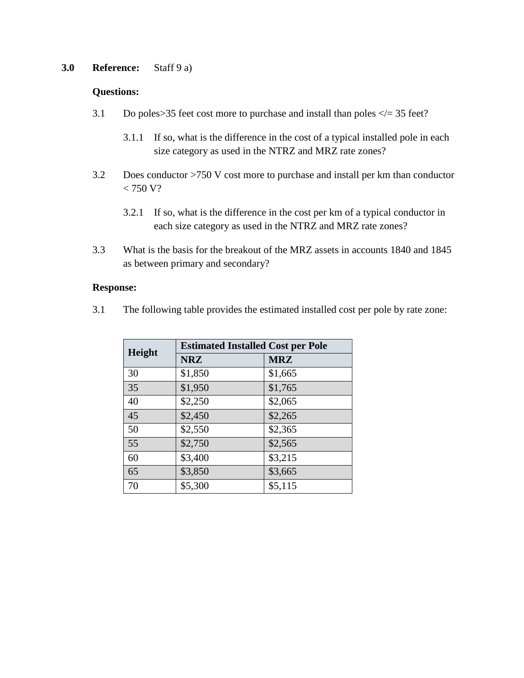# **3.0 Reference:** Staff 9 a)

#### **Questions:**

- 3.1 Do poles > 35 feet cost more to purchase and install than poles  $\langle \rangle = 35$  feet?
	- 3.1.1 If so, what is the difference in the cost of a typical installed pole in each size category as used in the NTRZ and MRZ rate zones?
- 3.2 Does conductor >750 V cost more to purchase and install per km than conductor  $< 750 V?$ 
	- 3.2.1 If so, what is the difference in the cost per km of a typical conductor in each size category as used in the NTRZ and MRZ rate zones?
- 3.3 What is the basis for the breakout of the MRZ assets in accounts 1840 and 1845 as between primary and secondary?

#### **Response:**

3.1 The following table provides the estimated installed cost per pole by rate zone:

| Height | <b>Estimated Installed Cost per Pole</b> |            |  |  |  |  |
|--------|------------------------------------------|------------|--|--|--|--|
|        | <b>NRZ</b>                               | <b>MRZ</b> |  |  |  |  |
| 30     | \$1,850                                  | \$1,665    |  |  |  |  |
| 35     | \$1,950                                  | \$1,765    |  |  |  |  |
| 40     | \$2,250                                  | \$2,065    |  |  |  |  |
| 45     | \$2,450                                  | \$2,265    |  |  |  |  |
| 50     | \$2,550                                  | \$2,365    |  |  |  |  |
| 55     | \$2,750                                  | \$2,565    |  |  |  |  |
| 60     | \$3,400                                  | \$3,215    |  |  |  |  |
| 65     | \$3,850                                  | \$3,665    |  |  |  |  |
| 70     | \$5,300                                  | \$5,115    |  |  |  |  |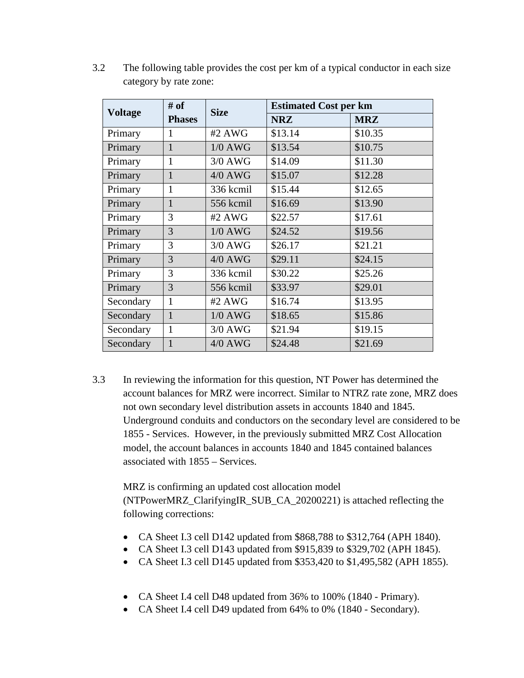|                | # of          | <b>Size</b> | <b>Estimated Cost per km</b> |            |  |  |
|----------------|---------------|-------------|------------------------------|------------|--|--|
| <b>Voltage</b> | <b>Phases</b> |             | <b>NRZ</b>                   | <b>MRZ</b> |  |  |
| Primary        | 1             | #2 AWG      | \$13.14                      | \$10.35    |  |  |
| Primary        | $\mathbf{1}$  | $1/0$ AWG   | \$13.54                      | \$10.75    |  |  |
| Primary        | 1             | $3/0$ AWG   | \$14.09                      | \$11.30    |  |  |
| Primary        | 1             | $4/0$ AWG   | \$15.07                      | \$12.28    |  |  |
| Primary        | 1             | 336 kcmil   | \$15.44                      | \$12.65    |  |  |
| Primary        | $\mathbf{1}$  | 556 kcmil   | \$16.69                      | \$13.90    |  |  |
| Primary        | 3             | #2 AWG      | \$22.57                      | \$17.61    |  |  |
| Primary        | 3             | $1/0$ AWG   | \$24.52                      | \$19.56    |  |  |
| Primary        | 3             | $3/0$ AWG   | \$26.17                      | \$21.21    |  |  |
| Primary        | 3             | $4/0$ AWG   | \$29.11                      | \$24.15    |  |  |
| Primary        | 3             | 336 kcmil   | \$30.22                      | \$25.26    |  |  |
| Primary        | 3             | 556 kcmil   | \$33.97                      | \$29.01    |  |  |
| Secondary      | $\mathbf{1}$  | #2 AWG      | \$16.74                      | \$13.95    |  |  |
| Secondary      | $\mathbf{1}$  | $1/0$ AWG   | \$18.65                      | \$15.86    |  |  |
| Secondary      | 1             | $3/0$ AWG   | \$21.94                      | \$19.15    |  |  |
| Secondary      | 1             | $4/0$ AWG   | \$24.48                      | \$21.69    |  |  |

3.2 The following table provides the cost per km of a typical conductor in each size category by rate zone:

3.3 In reviewing the information for this question, NT Power has determined the account balances for MRZ were incorrect. Similar to NTRZ rate zone, MRZ does not own secondary level distribution assets in accounts 1840 and 1845. Underground conduits and conductors on the secondary level are considered to be 1855 - Services. However, in the previously submitted MRZ Cost Allocation model, the account balances in accounts 1840 and 1845 contained balances associated with 1855 – Services.

MRZ is confirming an updated cost allocation model (NTPowerMRZ\_ClarifyingIR\_SUB\_CA\_20200221) is attached reflecting the following corrections:

- CA Sheet I.3 cell D142 updated from \$868,788 to \$312,764 (APH 1840).
- CA Sheet I.3 cell D143 updated from \$915,839 to \$329,702 (APH 1845).
- CA Sheet I.3 cell D145 updated from \$353,420 to \$1,495,582 (APH 1855).
- CA Sheet I.4 cell D48 updated from 36% to 100% (1840 Primary).
- CA Sheet I.4 cell D49 updated from 64% to 0% (1840 Secondary).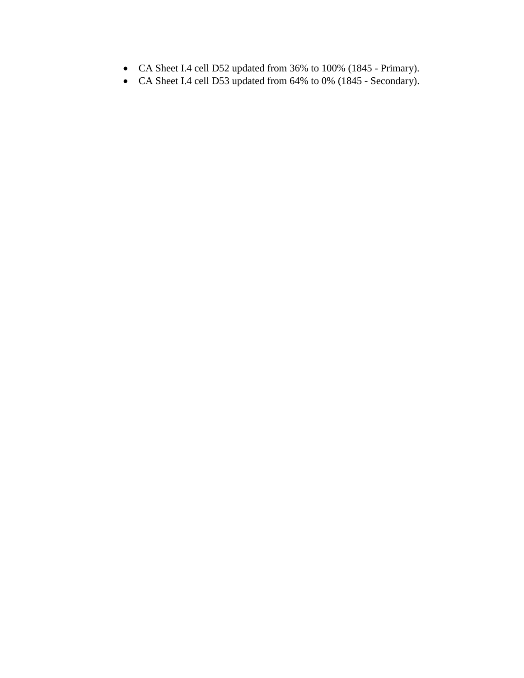- CA Sheet I.4 cell D52 updated from 36% to 100% (1845 Primary).
- CA Sheet I.4 cell D53 updated from 64% to 0% (1845 Secondary).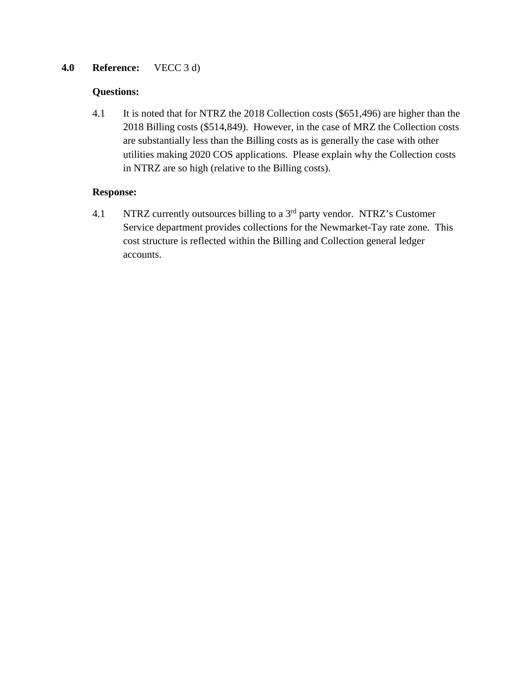# **4.0 Reference:** VECC 3 d)

## **Questions:**

4.1 It is noted that for NTRZ the 2018 Collection costs (\$651,496) are higher than the 2018 Billing costs (\$514,849). However, in the case of MRZ the Collection costs are substantially less than the Billing costs as is generally the case with other utilities making 2020 COS applications. Please explain why the Collection costs in NTRZ are so high (relative to the Billing costs).

## **Response:**

4.1 NTRZ currently outsources billing to a  $3<sup>rd</sup>$  party vendor. NTRZ's Customer Service department provides collections for the Newmarket-Tay rate zone. This cost structure is reflected within the Billing and Collection general ledger accounts.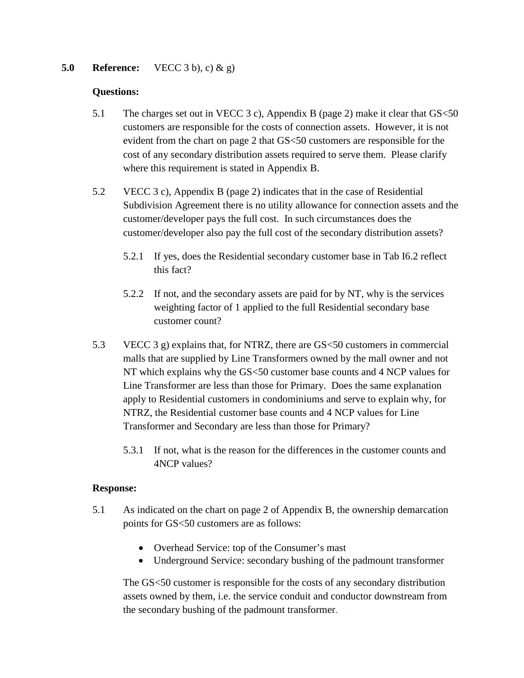## **5.0 Reference:** VECC 3 b), c) & g)

#### **Questions:**

- 5.1 The charges set out in VECC 3 c), Appendix B (page 2) make it clear that GS<50 customers are responsible for the costs of connection assets. However, it is not evident from the chart on page 2 that GS<50 customers are responsible for the cost of any secondary distribution assets required to serve them. Please clarify where this requirement is stated in Appendix B.
- 5.2 VECC 3 c), Appendix B (page 2) indicates that in the case of Residential Subdivision Agreement there is no utility allowance for connection assets and the customer/developer pays the full cost. In such circumstances does the customer/developer also pay the full cost of the secondary distribution assets?
	- 5.2.1 If yes, does the Residential secondary customer base in Tab I6.2 reflect this fact?
	- 5.2.2 If not, and the secondary assets are paid for by NT, why is the services weighting factor of 1 applied to the full Residential secondary base customer count?
- 5.3 VECC 3 g) explains that, for NTRZ, there are GS<50 customers in commercial malls that are supplied by Line Transformers owned by the mall owner and not NT which explains why the GS<50 customer base counts and 4 NCP values for Line Transformer are less than those for Primary. Does the same explanation apply to Residential customers in condominiums and serve to explain why, for NTRZ, the Residential customer base counts and 4 NCP values for Line Transformer and Secondary are less than those for Primary?
	- 5.3.1 If not, what is the reason for the differences in the customer counts and 4NCP values?

#### **Response:**

- 5.1 As indicated on the chart on page 2 of Appendix B, the ownership demarcation points for GS<50 customers are as follows:
	- Overhead Service: top of the Consumer's mast
	- Underground Service: secondary bushing of the padmount transformer

The GS<50 customer is responsible for the costs of any secondary distribution assets owned by them, i.e. the service conduit and conductor downstream from the secondary bushing of the padmount transformer.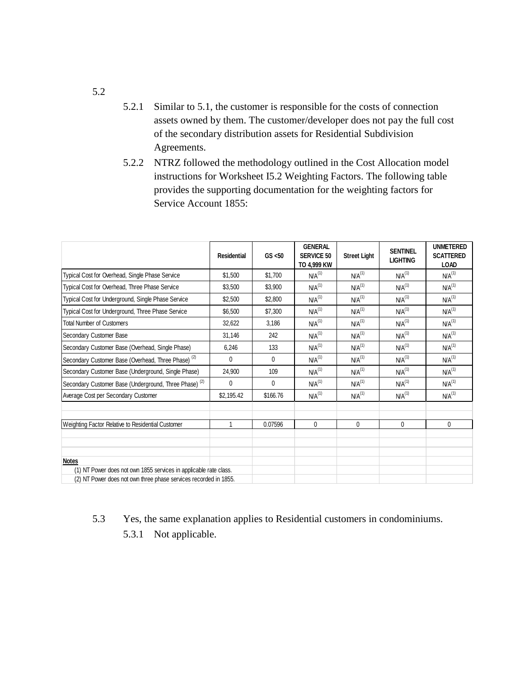- 5.2.1 Similar to 5.1, the customer is responsible for the costs of connection assets owned by them. The customer/developer does not pay the full cost of the secondary distribution assets for Residential Subdivision Agreements.
- 5.2.2 NTRZ followed the methodology outlined in the Cost Allocation model instructions for Worksheet I5.2 Weighting Factors. The following table provides the supporting documentation for the weighting factors for Service Account 1855:

|                                                                   | <b>Residential</b> | GS < 50      | <b>GENERAL</b><br><b>SERVICE 50</b><br>TO 4,999 KW | <b>Street Light</b> | <b>SENTINEL</b><br><b>LIGHTING</b> | <b>UNMETERED</b><br><b>SCATTERED</b><br><b>LOAD</b> |
|-------------------------------------------------------------------|--------------------|--------------|----------------------------------------------------|---------------------|------------------------------------|-----------------------------------------------------|
| Typical Cost for Overhead, Single Phase Service                   | \$1.500            | \$1.700      | NA <sup>(1)</sup>                                  | NA <sup>(1)</sup>   | $N/A$ <sup>(1)</sup>               | NA <sup>(1)</sup>                                   |
| Typical Cost for Overhead, Three Phase Service                    | \$3,500            | \$3,900      | $N/A^{(1)}$                                        | NA <sup>(1)</sup>   | $N/A$ <sup>(1)</sup>               | $N/A$ <sup>(1)</sup>                                |
| Typical Cost for Underground, Single Phase Service                | \$2,500            | \$2,800      | $N/A^{(1)}$                                        | $NA^{(1)}$          | N/A <sup>(1)</sup>                 | $N/A$ <sup>(1)</sup>                                |
| Typical Cost for Underground, Three Phase Service                 | \$6,500            | \$7,300      | $NA^{(1)}$                                         | NA <sup>(1)</sup>   | N/A <sup>(1)</sup>                 | $N/A$ <sup>(1)</sup>                                |
| <b>Total Number of Customers</b>                                  | 32,622             | 3,186        | NA <sup>(1)</sup>                                  | NA <sup>(1)</sup>   | $N/A$ <sup>(1)</sup>               | $N/A$ <sup>(1)</sup>                                |
| Secondary Customer Base                                           | 31,146             | 242          | $NA^{(1)}$                                         | NA <sup>(1)</sup>   | $N/A$ <sup>(1)</sup>               | N/A <sup>(1)</sup>                                  |
| Secondary Customer Base (Overhead, Single Phase)                  | 6,246              | 133          | $NA^{(1)}$                                         | NA <sup>(1)</sup>   | $N/A$ <sup>(1)</sup>               | $N/A$ <sup>(1)</sup>                                |
| Secondary Customer Base (Overhead, Three Phase) <sup>(2)</sup>    | $\mathbf{0}$       | $\mathbf{0}$ | NA <sup>(1)</sup>                                  | NA <sup>(1)</sup>   | $N/A$ <sup>(1)</sup>               | $N/A$ <sup>(1)</sup>                                |
| Secondary Customer Base (Underground, Single Phase)               | 24,900             | 109          | $N/A$ <sup>(1)</sup>                               | NA <sup>(1)</sup>   | $N/A$ <sup>(1)</sup>               | $N/A$ <sup>(1)</sup>                                |
| Secondary Customer Base (Underground, Three Phase) <sup>(2)</sup> | $\mathbf{0}$       | 0            | $N/A^{(1)}$                                        | NA <sup>(1)</sup>   | N/A <sup>(1)</sup>                 | NA <sup>(1)</sup>                                   |
| Average Cost per Secondary Customer                               | \$2,195.42         | \$166.76     | $N/A$ <sup>(1)</sup>                               | NA <sup>(1)</sup>   | $N/A$ <sup>(1)</sup>               | $N/A$ <sup>(1)</sup>                                |
|                                                                   |                    |              |                                                    |                     |                                    |                                                     |
| Weighting Factor Relative to Residential Customer                 | 1                  | 0.07596      | 0                                                  | 0                   | 0                                  | $\mathbf{0}$                                        |
|                                                                   |                    |              |                                                    |                     |                                    |                                                     |
|                                                                   |                    |              |                                                    |                     |                                    |                                                     |
| <b>Notes</b>                                                      |                    |              |                                                    |                     |                                    |                                                     |
| (1) NT Power does not own 1855 services in applicable rate class. |                    |              |                                                    |                     |                                    |                                                     |
| (2) NT Power does not own three phase services recorded in 1855.  |                    |              |                                                    |                     |                                    |                                                     |

# 5.3 Yes, the same explanation applies to Residential customers in condominiums.

5.3.1 Not applicable.

5.2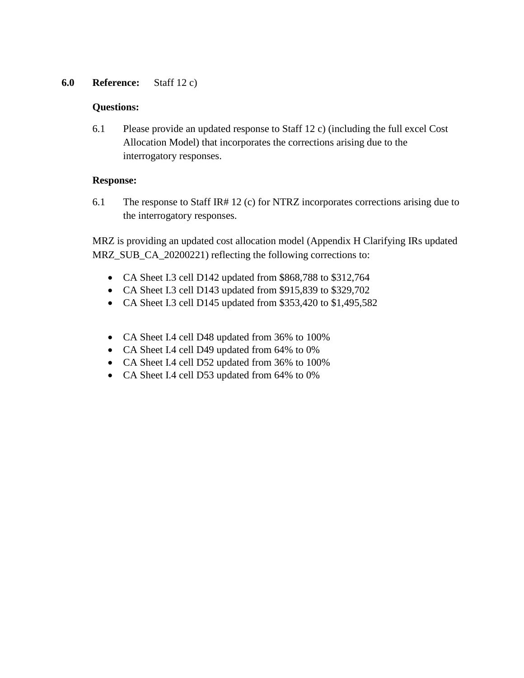# **6.0 Reference:** Staff 12 c)

## **Questions:**

6.1 Please provide an updated response to Staff 12 c) (including the full excel Cost Allocation Model) that incorporates the corrections arising due to the interrogatory responses.

## **Response:**

6.1 The response to Staff IR# 12 (c) for NTRZ incorporates corrections arising due to the interrogatory responses.

MRZ is providing an updated cost allocation model (Appendix H Clarifying IRs updated MRZ SUB CA 20200221) reflecting the following corrections to:

- CA Sheet I.3 cell D142 updated from \$868,788 to \$312,764
- CA Sheet I.3 cell D143 updated from \$915,839 to \$329,702
- CA Sheet I.3 cell D145 updated from \$353,420 to \$1,495,582
- CA Sheet I.4 cell D48 updated from 36% to 100%
- CA Sheet I.4 cell D49 updated from 64% to 0%
- CA Sheet I.4 cell D52 updated from 36% to 100%
- CA Sheet I.4 cell D53 updated from 64% to 0%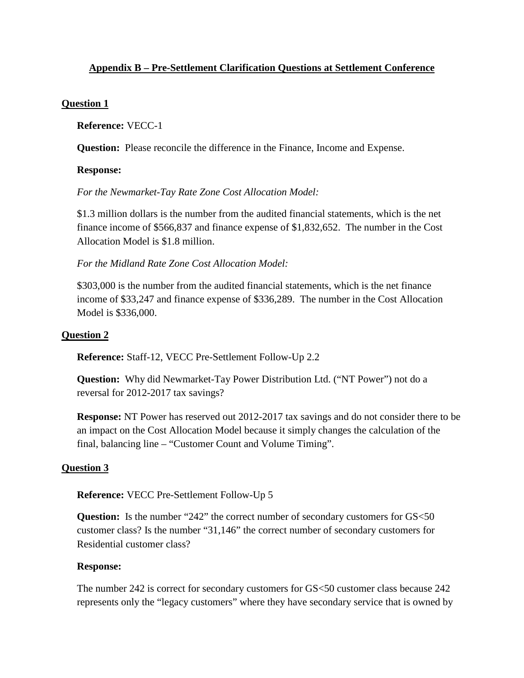# <span id="page-15-0"></span>**Appendix B – Pre-Settlement Clarification Questions at Settlement Conference**

## **Question 1**

**Reference:** VECC-1

**Question:** Please reconcile the difference in the Finance, Income and Expense.

## **Response:**

*For the Newmarket-Tay Rate Zone Cost Allocation Model:* 

\$1.3 million dollars is the number from the audited financial statements, which is the net finance income of \$566,837 and finance expense of \$1,832,652. The number in the Cost Allocation Model is \$1.8 million.

*For the Midland Rate Zone Cost Allocation Model:* 

\$303,000 is the number from the audited financial statements, which is the net finance income of \$33,247 and finance expense of \$336,289. The number in the Cost Allocation Model is \$336,000.

## **Question 2**

**Reference:** Staff-12, VECC Pre-Settlement Follow-Up 2.2

**Question:** Why did Newmarket-Tay Power Distribution Ltd. ("NT Power") not do a reversal for 2012-2017 tax savings?

**Response:** NT Power has reserved out 2012-2017 tax savings and do not consider there to be an impact on the Cost Allocation Model because it simply changes the calculation of the final, balancing line – "Customer Count and Volume Timing".

# **Question 3**

**Reference:** VECC Pre-Settlement Follow-Up 5

**Question:** Is the number "242" the correct number of secondary customers for GS<50 customer class? Is the number "31,146" the correct number of secondary customers for Residential customer class?

## **Response:**

The number 242 is correct for secondary customers for GS<50 customer class because 242 represents only the "legacy customers" where they have secondary service that is owned by